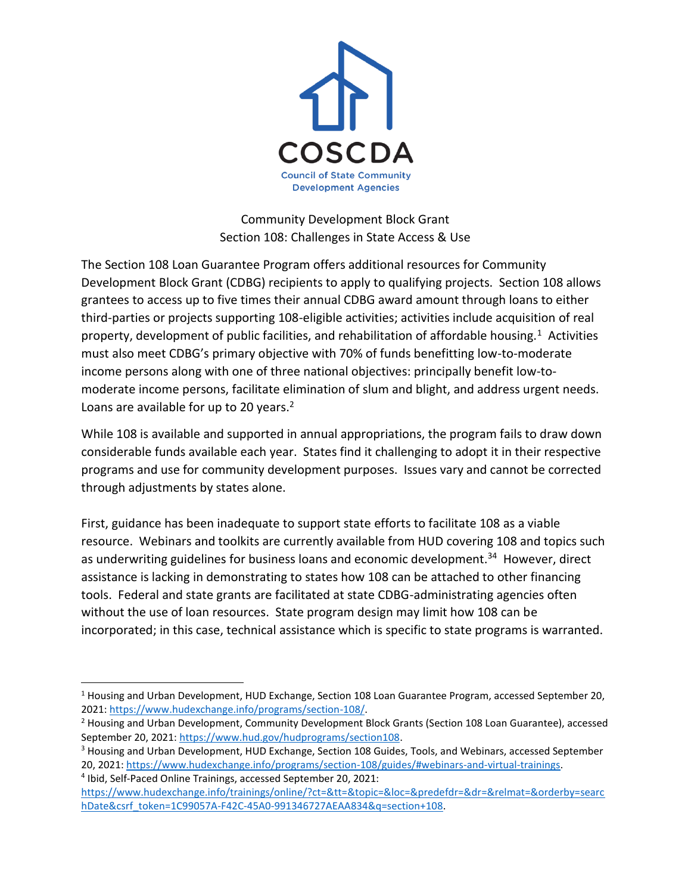

Community Development Block Grant Section 108: Challenges in State Access & Use

The Section 108 Loan Guarantee Program offers additional resources for Community Development Block Grant (CDBG) recipients to apply to qualifying projects. Section 108 allows grantees to access up to five times their annual CDBG award amount through loans to either third-parties or projects supporting 108-eligible activities; activities include acquisition of real property, development of public facilities, and rehabilitation of affordable housing.<sup>1</sup> Activities must also meet CDBG's primary objective with 70% of funds benefitting low-to-moderate income persons along with one of three national objectives: principally benefit low-tomoderate income persons, facilitate elimination of slum and blight, and address urgent needs. Loans are available for up to 20 years.<sup>2</sup>

While 108 is available and supported in annual appropriations, the program fails to draw down considerable funds available each year. States find it challenging to adopt it in their respective programs and use for community development purposes. Issues vary and cannot be corrected through adjustments by states alone.

First, guidance has been inadequate to support state efforts to facilitate 108 as a viable resource. Webinars and toolkits are currently available from HUD covering 108 and topics such as underwriting guidelines for business loans and economic development.<sup>34</sup> However, direct assistance is lacking in demonstrating to states how 108 can be attached to other financing tools. Federal and state grants are facilitated at state CDBG-administrating agencies often without the use of loan resources. State program design may limit how 108 can be incorporated; in this case, technical assistance which is specific to state programs is warranted.

 $\overline{\phantom{a}}$ 

<sup>1</sup> Housing and Urban Development, HUD Exchange, Section 108 Loan Guarantee Program, accessed September 20, 2021: [https://www.hudexchange.info/programs/section-108/.](https://www.hudexchange.info/programs/section-108/) 

<sup>&</sup>lt;sup>2</sup> Housing and Urban Development, Community Development Block Grants (Section 108 Loan Guarantee), accessed September 20, 2021: [https://www.hud.gov/hudprograms/section108.](https://www.hud.gov/hudprograms/section108) 

<sup>&</sup>lt;sup>3</sup> Housing and Urban Development, HUD Exchange, Section 108 Guides, Tools, and Webinars, accessed September 20, 2021: [https://www.hudexchange.info/programs/section-108/guides/#webinars-and-virtual-trainings.](https://www.hudexchange.info/programs/section-108/guides/#webinars-and-virtual-trainings) 4 Ibid, Self-Paced Online Trainings, accessed September 20, 2021:

[https://www.hudexchange.info/trainings/online/?ct=&tt=&topic=&loc=&predefdr=&dr=&relmat=&orderby=searc](https://www.hudexchange.info/trainings/online/?ct=&tt=&topic=&loc=&predefdr=&dr=&relmat=&orderby=searchDate&csrf_token=1C99057A-F42C-45A0-991346727AEAA834&q=section+108) [hDate&csrf\\_token=1C99057A-F42C-45A0-991346727AEAA834&q=section+108.](https://www.hudexchange.info/trainings/online/?ct=&tt=&topic=&loc=&predefdr=&dr=&relmat=&orderby=searchDate&csrf_token=1C99057A-F42C-45A0-991346727AEAA834&q=section+108)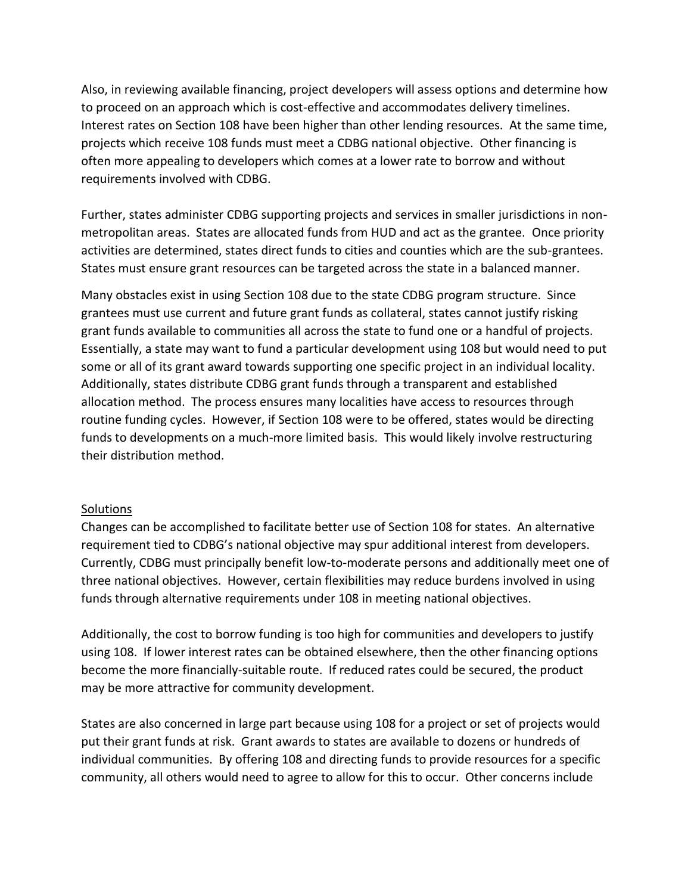Also, in reviewing available financing, project developers will assess options and determine how to proceed on an approach which is cost-effective and accommodates delivery timelines. Interest rates on Section 108 have been higher than other lending resources. At the same time, projects which receive 108 funds must meet a CDBG national objective. Other financing is often more appealing to developers which comes at a lower rate to borrow and without requirements involved with CDBG.

Further, states administer CDBG supporting projects and services in smaller jurisdictions in nonmetropolitan areas. States are allocated funds from HUD and act as the grantee. Once priority activities are determined, states direct funds to cities and counties which are the sub-grantees. States must ensure grant resources can be targeted across the state in a balanced manner.

Many obstacles exist in using Section 108 due to the state CDBG program structure. Since grantees must use current and future grant funds as collateral, states cannot justify risking grant funds available to communities all across the state to fund one or a handful of projects. Essentially, a state may want to fund a particular development using 108 but would need to put some or all of its grant award towards supporting one specific project in an individual locality. Additionally, states distribute CDBG grant funds through a transparent and established allocation method. The process ensures many localities have access to resources through routine funding cycles. However, if Section 108 were to be offered, states would be directing funds to developments on a much-more limited basis. This would likely involve restructuring their distribution method.

## **Solutions**

Changes can be accomplished to facilitate better use of Section 108 for states. An alternative requirement tied to CDBG's national objective may spur additional interest from developers. Currently, CDBG must principally benefit low-to-moderate persons and additionally meet one of three national objectives. However, certain flexibilities may reduce burdens involved in using funds through alternative requirements under 108 in meeting national objectives.

Additionally, the cost to borrow funding is too high for communities and developers to justify using 108. If lower interest rates can be obtained elsewhere, then the other financing options become the more financially-suitable route. If reduced rates could be secured, the product may be more attractive for community development.

States are also concerned in large part because using 108 for a project or set of projects would put their grant funds at risk. Grant awards to states are available to dozens or hundreds of individual communities. By offering 108 and directing funds to provide resources for a specific community, all others would need to agree to allow for this to occur. Other concerns include